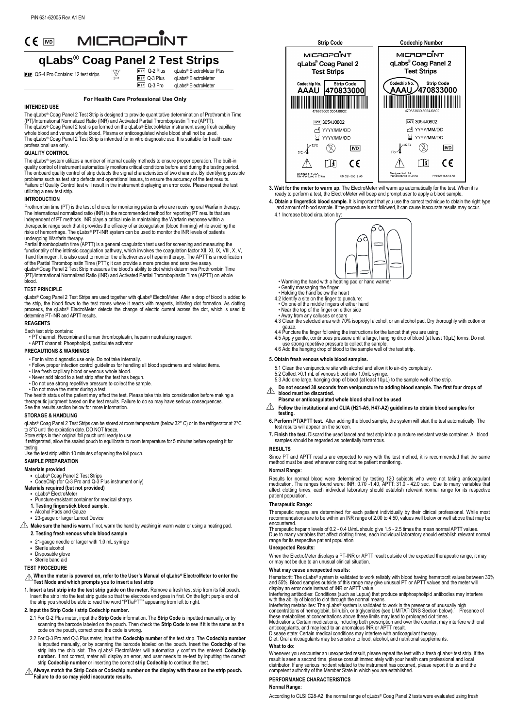## MICROPONT  $CE$  MD

# **qLabs® Coag Panel 2 Test Strips**

**REF** QS-4 Pro Contains: 12 test strips

**REF** Q-3 Plus REF 0-3 Pro **REF** Q-2 Plus qLabs® ElectroMeter Plus qLabs® ElectroMeter qLabs® ElectroMeter

#### **For Health Care Professional Use Only**

#### **INTENDED USE**

The qLabs® Coag Panel 2 Test Strip is designed to provide quantitative determination of Prothrombin Time (PT)/International Normalized Ratio (INR) and Activated Partial Thromboplastin Time (APTT).<br>The qLabs® Coag Panel 2 test is performed on the qLabs® ElectroMeter instrument using fresh capillary whole blood and venous whole blood. Plasma or anticoagulated whole blood shall not be used. The qLabs® Coag Panel 2 Test Strip is intended for in vitro diagnostic use. It is suitable for health care prose cody . a<br>ssional use only

#### **QUALITY CONTROL**

The qLabs<sup>®</sup> system utilizes a number of internal quality methods to ensure proper operation. The built-in quality control of instrument automatically monitors critical conditions before and during the testing period.<br>The onboard quality control of strip detects the signal characteristics of two channels. By identifying possibl Failure of Quality Control test will result in the instrument displaying an error code. Please repeat the test utilizing a new test strip.

#### **INTRODUCTION**

Prothrombin time (PT) is the test of choice for monitoring patients who are receiving oral Warfarin therapy. The international normalized ratio (INR) is the recommended method for reporting PT results that are independent of PT methods. INR plays a critical role in maintaining the Warfarin response within a therapeutic range such that it provides the efficacy of anticoagulation (blood thinning) while avoiding the

risks of hemorrhage. The qLabs® PT-INR system can be used to monitor the INR levels of patients<br>undergoing Warfarin therapy.<br>Partial thromboplastin time (APTT) is a general coagulation test used for screening and measuring (PT)/International Normalized Ratio (INR) and Activated Partial Thromboplastin Time (APTT) on whole blood.

#### **TEST PRINCIPLE**

qLabs® Coag Panel 2 Test Strips are used together with qLabs® ElectroMeter. After a drop of blood is added to<br>the strip, the blood flows to the test zones where it reacts with reagents, initiating clot formation. As clott determine PT-INR and APTT results.

### **REAGENTS**

- Each test strip contains:
- PT channel: Recombinant human thromboplastin, heparin neutralizing reagent • APTT channel: Phospholipid, particulate activator

#### **PRECAUTIONS & WARNINGS**

- For in vitro diagnostic use only. Do not take internally.
- Follow proper infection control guidelines for handling all blood specimens and related items. Use fresh capillary blood or venous whole blood.
- 
- Never add blood to a test strip after the test has begun.
- Do not use strong repetitive pressure to collect the sample.

• Do not move the meter during a test. The health status of the patient may affect the test. Please take this into consideration before making a therapeutic judgment based on the test results. Failure to do so may have serious consequences. See the results section below for more information.

#### **STORAGE & HANDLING**

qLabs® Coag Panel 2 Test Strips can be stored at room temperature (below 32° C) or in the refrigerator at 2° C to 8°C until the expiration date. DO NOT freeze.

Store strips in their original foil pouch until ready to use. If refrigerated, allow the sealed pouch to equilibrate to room temperature for 5 minutes before opening it for testing. Use the test strip within 10 minutes of opening the foil pouch.

**SAMPLE PREPARATION**

#### **Materials provided**

**•** qLabs® Coag Panel 2 Test Strips • CodeChip (for Q-3 Pro and Q-3 Plus instrument only) **Materials required (but not provided)**

- qLabs® ElectroMeter
- Puncture-resistant container for medical sharps
- **1. Testing fingerstick blood sample.**
- Alcohol Pads and Gauze
- 23-gauge or larger Lancet Device

 $\triangle$  Make sure the hand is warm. If not, warm the hand by washing in warm water or using a heating pad.

- **2. Testing fresh venous whole blood sample**
- 21-gauge needle or larger with 1.0 mL syringe Sterile alcohol
- 
- Disposable glove Sterile band aid
- **TEST PROCEDURE**

#### **When the meter is powered on, refer to the User's Manual of qLabs® ElectroMeter to enter the Test Mode and which prompts you to insert a test strip**

**1. Insert a test strip into the test strip guide on the meter.** Remove a fresh test strip from its foil pouch. Insert the strip into the test strip guide so that the electrode end goes in first. On the light purple end of the strip you should be able to read the word "PT/aPTT" appearing from left to right.

#### **2. Input the Strip Code / strip Codechip number.**

- 2.1 For Q-2 Plus meter, input the **Strip Code** information. The **Strip Code** is inputted manually, or by<br>scanning the barcode labeled on the pouch. Then check the **Strip Code** to see if it is the same as the<br>code on the po
- 2.2 For Q-3 Pro and Q-3 Plus meter, input the **Codechip number** of the test strip. The **Codechip number** is inputted manually, or by scanning the barcode labeled on the pouch. Insert the **Codechip** of the strip into the chip slot. The qLabs® ElectroMeter will automatically confirm the entered **Codechip number.** If not correct, meter will display an error, and user needs to re-test by inputting the correct strip **Codechip number** or inserting the correct **strip Codechip** to continue the test.
- **Always match the Strip Code or Codechip number on the display with these on the strip pouch. Failure to do so may yield inaccurate results.**



**3. Wait for the meter to warm up.** The ElectroMeter will warm up automatically for the test. When it is ready to perform a test, the ElectroMeter will beep and prompt user to apply a blood sample.

- **4. Obtain a fingerstick blood sample.** It is important that you use the correct technique to obtain the right type and amount of blood sample. If the procedure is not followed, it can cause inaccurate results may occur. 4.1 Increase blood circulation by:
	- ନ∂
	- Warming the hand with a heating pad or hand warmer
	-
- -
- 
- 
- Gently massaging the finger<br>• Holding the hand below the heart<br>4.2 Identify a site on the finger to puncture:<br>• On one of the middle fingers of either hand<br>• Near the top of the finger on either side<br>• Away from any cal
- gauze. 4.4 Puncture the finger following the instructions for the lancet that you are using. 4.5 Apply gentle, continuous pressure until a large, hanging drop of blood (at least 10µ L) forms. Do not
- use strong repetitive pressure to collect the sample. 4.6 Add the hanging drop of blood to the sample well of the test strip.

#### **5. Obtain fresh venous whole blood samples.**

- 
- 5.1 Clean the venipuncture site with alcohol and allow it to air-dry completely.<br>5.2 Collect >0.1 mL of venous blood into 1.0mL syringe.<br>5.3 Add one large, hanging drop of blood (at least 10µL) to the sample well of the s
- **Do not exceed 30 seconds from venipuncture to adding blood sample. The first four drops of blood must be discarded.**
- **Plasma or anticoagulated whole blood shall not be used**
- $\triangle$  Follow the institutional and CLIA (H21-A5, H47-A2) guidelines to obtain blood samples for **testing.**
- **6. Perform PT/APTT test.** After adding the blood sample, the system will start the test automatically. The test results will appear on the screen.
- **7. Finish the test.** Discard the used lancet and test strip into a puncture resistant waste container. All blood samples should be regarded as potentially hazardous.

#### **RESULTS**

Since PT and APTT results are expected to vary with the test method, it is recommended that the same method must be used whenever doing routine patient monitoring.

#### **Normal Range:**

Results for normal blood were determined by testing 120 subjects who were not taking anticoagulant<br>medication. The ranges found were: INR: 0.70 -1.40, APTT: 31.0 - 42.0 sec. Due to many variables that<br>affect clotting times patient population.

#### **Therapeutic Range:**

Therapeutic ranges are determined for each patient individually by their clinical professional. While most recommendations are to be within an INR range of 2.00 to 4.50, values well below or well above that may be

encountered.<br>Therapeutic heparin levels of 0.2 - 0.4 U/mL should give 1.5 - 2.5 times the mean normal APTT values.<br>Due to many variables that affect clotting times, each individual laboratory should establish relevant norm range for its respective patient population

#### **Unexpected Results:**

When the ElectroMeter displays a PT-INR or APTT result outside of the expected therapeutic range, it may or may not be due to an unusual clinical situation.

#### **What may cause unexpected results:**

Hematocrit: The qLabs® system is validated to work reliably with blood having hematocrit values between 30% and 55%. Blood samples outside of this range may give unusual PT or APTT values and the meter will display an erro

## **What to do:**

Whenever you encounter an unexpected result, please repeat the test with a fresh qLabs® test strip. If the<br>result is seen a second time, please consult immediately with your health care professional and local<br>distributor.

#### **PERFORMANCE CHARACTERISTICS**

#### **Normal Range:**

According to CLSI C28-A2, the normal range of qLabs® Coag Panel 2 tests were evaluated using fresh